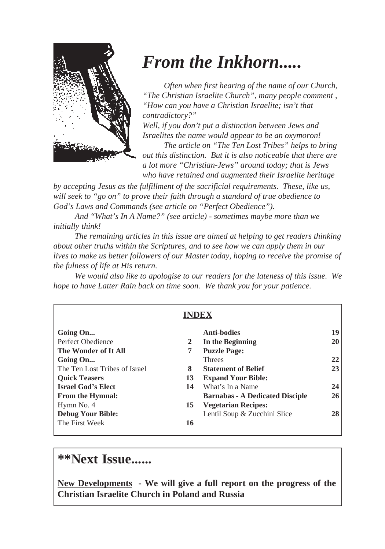

# *From the Inkhorn.....*

*Often when first hearing of the name of our Church, "The Christian Israelite Church", many people comment , "How can you have a Christian Israelite; isn't that contradictory?"*

*Well, if you don't put a distinction between Jews and Israelites the name would appear to be an oxymoron!*

*The article on "The Ten Lost Tribes" helps to bring out this distinction. But it is also noticeable that there are a lot more "Christian-Jews" around today; that is Jews who have retained and augmented their Israelite heritage*

*by accepting Jesus as the fulfillment of the sacrificial requirements. These, like us, will seek to "go on" to prove their faith through a standard of true obedience to God's Laws and Commands (see article on "Perfect Obedience").*

*And "What's In A Name?" (see article) - sometimes maybe more than we initially think!*

*The remaining articles in this issue are aimed at helping to get readers thinking about other truths within the Scriptures, and to see how we can apply them in our lives to make us better followers of our Master today, hoping to receive the promise of the fulness of life at His return.*

*We would also like to apologise to our readers for the lateness of this issue. We hope to have Latter Rain back on time soon. We thank you for your patience.*

| INDEX                              |                                              |
|------------------------------------|----------------------------------------------|
| Going On                           | <b>Anti-bodies</b><br>19                     |
| Perfect Obedience<br>2             | In the Beginning<br>20                       |
| The Wonder of It All<br>7          | <b>Puzzle Page:</b>                          |
| Going On                           | <b>Threes</b><br>22                          |
| The Ten Lost Tribes of Israel<br>8 | <b>Statement of Belief</b><br>23             |
| <b>Quick Teasers</b><br>13         | <b>Expand Your Bible:</b>                    |
| <b>Israel God's Elect</b><br>14    | What's In a Name<br>24                       |
| <b>From the Hymnal:</b>            | <b>Barnabas - A Dedicated Disciple</b><br>26 |
| Hymn No. 4<br>15                   | <b>Vegetarian Recipes:</b>                   |
| <b>Debug Your Bible:</b>           | Lentil Soup & Zucchini Slice<br>28           |
| The First Week<br>16               |                                              |

# **\*\*Next Issue......**

**New Developments - We will give a full report on the progress of the Christian Israelite Church in Poland and Russia**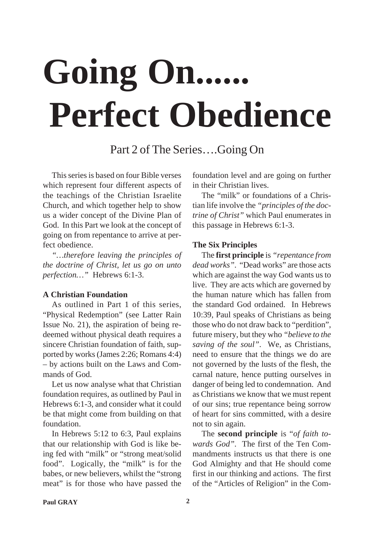# Going On... **Perfect Obedience**

Part 2 of The Series….Going On

This series is based on four Bible verses which represent four different aspects of the teachings of the Christian Israelite Church, and which together help to show us a wider concept of the Divine Plan of God. In this Part we look at the concept of going on from repentance to arrive at perfect obedience.

*"…therefore leaving the principles of the doctrine of Christ, let us go on unto perfection…"* Hebrews 6:1-3.

## **A Christian Foundation**

As outlined in Part 1 of this series, "Physical Redemption" (see Latter Rain Issue No. 21), the aspiration of being redeemed without physical death requires a sincere Christian foundation of faith, supported by works (James 2:26; Romans 4:4) – by actions built on the Laws and Commands of God.

Let us now analyse what that Christian foundation requires, as outlined by Paul in Hebrews 6:1-3, and consider what it could be that might come from building on that foundation.

In Hebrews 5:12 to 6:3, Paul explains that our relationship with God is like being fed with "milk" or "strong meat/solid food". Logically, the "milk" is for the babes, or new believers, whilst the "strong meat" is for those who have passed the

foundation level and are going on further in their Christian lives.

The "milk" or foundations of a Christian life involve the *"principles of the doctrine of Christ"* which Paul enumerates in this passage in Hebrews 6:1-3.

#### **The Six Principles**

The **first principle** is *"repentance from dead works"*. "Dead works" are those acts which are against the way God wants us to live. They are acts which are governed by the human nature which has fallen from the standard God ordained. In Hebrews 10:39, Paul speaks of Christians as being those who do not draw back to "perdition", future misery, but they who *"believe to the saving of the soul"*. We, as Christians, need to ensure that the things we do are not governed by the lusts of the flesh, the carnal nature, hence putting ourselves in danger of being led to condemnation. And as Christians we know that we must repent of our sins; true repentance being sorrow of heart for sins committed, with a desire not to sin again.

The **second principle** is "*of faith towards God"*. The first of the Ten Commandments instructs us that there is one God Almighty and that He should come first in our thinking and actions. The first of the "Articles of Religion" in the Com-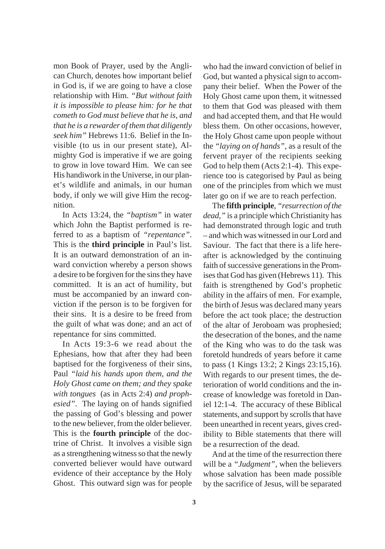mon Book of Prayer, used by the Anglican Church, denotes how important belief in God is, if we are going to have a close relationship with Him. *"But without faith it is impossible to please him: for he that cometh to God must believe that he is, and that he is a rewarder of them that diligently seek him"* Hebrews 11:6. Belief in the Invisible (to us in our present state), Almighty God is imperative if we are going to grow in love toward Him. We can see His handiwork in the Universe, in our planet's wildlife and animals, in our human body, if only we will give Him the recognition.

In Acts 13:24, the *"baptism"* in water which John the Baptist performed is referred to as a baptism of *"repentance"*. This is the **third principle** in Paul's list. It is an outward demonstration of an inward conviction whereby a person shows a desire to be forgiven for the sins they have committed. It is an act of humility, but must be accompanied by an inward conviction if the person is to be forgiven for their sins. It is a desire to be freed from the guilt of what was done; and an act of repentance for sins committed.

In Acts 19:3-6 we read about the Ephesians, how that after they had been baptised for the forgiveness of their sins, Paul *"laid his hands upon them, and the Holy Ghost came on them; and they spake with tongues* (as in Acts 2:4) *and prophesied"*. The laying on of hands signified the passing of God's blessing and power to the new believer, from the older believer. This is the **fourth principle** of the doctrine of Christ. It involves a visible sign as a strengthening witness so that the newly converted believer would have outward evidence of their acceptance by the Holy Ghost. This outward sign was for people

who had the inward conviction of belief in God, but wanted a physical sign to accompany their belief. When the Power of the Holy Ghost came upon them, it witnessed to them that God was pleased with them and had accepted them, and that He would bless them. On other occasions, however, the Holy Ghost came upon people without the *"laying on of hands"*, as a result of the fervent prayer of the recipients seeking God to help them (Acts 2:1-4). This experience too is categorised by Paul as being one of the principles from which we must later go on if we are to reach perfection.

The **fifth principle**, *"resurrection of the dead,"* is a principle which Christianity has had demonstrated through logic and truth – and which was witnessed in our Lord and Saviour. The fact that there is a life hereafter is acknowledged by the continuing faith of successive generations in the Promises that God has given (Hebrews 11). This faith is strengthened by God's prophetic ability in the affairs of men. For example, the birth of Jesus was declared many years before the act took place; the destruction of the altar of Jeroboam was prophesied; the desecration of the bones, and the name of the King who was to do the task was foretold hundreds of years before it came to pass (1 Kings 13:2; 2 Kings 23:15,16). With regards to our present times, the deterioration of world conditions and the increase of knowledge was foretold in Daniel 12:1-4. The accuracy of these Biblical statements, and support by scrolls that have been unearthed in recent years, gives credibility to Bible statements that there will be a resurrection of the dead.

And at the time of the resurrection there will be a *"Judgment"*, when the believers whose salvation has been made possible by the sacrifice of Jesus, will be separated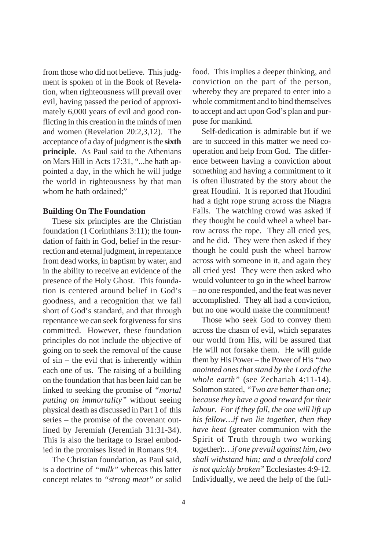from those who did not believe. This judgment is spoken of in the Book of Revelation, when righteousness will prevail over evil, having passed the period of approximately 6,000 years of evil and good conflicting in this creation in the minds of men and women (Revelation 20:2,3,12). The acceptance of a day of judgment is the **sixth principle**. As Paul said to the Athenians on Mars Hill in Acts 17:31, "...he hath appointed a day, in the which he will judge the world in righteousness by that man whom he hath ordained;"

#### **Building On The Foundation**

These six principles are the Christian foundation (1 Corinthians 3:11); the foundation of faith in God, belief in the resurrection and eternal judgment, in repentance from dead works, in baptism by water, and in the ability to receive an evidence of the presence of the Holy Ghost. This foundation is centered around belief in God's goodness, and a recognition that we fall short of God's standard, and that through repentance we can seek forgiveness for sins committed. However, these foundation principles do not include the objective of going on to seek the removal of the cause of sin – the evil that is inherently within each one of us. The raising of a building on the foundation that has been laid can be linked to seeking the promise of *"mortal putting on immortality"* without seeing physical death as discussed in Part 1 of this series – the promise of the covenant outlined by Jeremiah (Jeremiah 31:31-34). This is also the heritage to Israel embodied in the promises listed in Romans 9:4.

The Christian foundation, as Paul said, is a doctrine of *"milk"* whereas this latter concept relates to *"strong meat"* or solid food*.* This implies a deeper thinking, and conviction on the part of the person, whereby they are prepared to enter into a whole commitment and to bind themselves to accept and act upon God's plan and purpose for mankind.

Self-dedication is admirable but if we are to succeed in this matter we need cooperation and help from God. The difference between having a conviction about something and having a commitment to it is often illustrated by the story about the great Houdini. It is reported that Houdini had a tight rope strung across the Niagra Falls. The watching crowd was asked if they thought he could wheel a wheel barrow across the rope. They all cried yes, and he did. They were then asked if they though he could push the wheel barrow across with someone in it, and again they all cried yes! They were then asked who would volunteer to go in the wheel barrow – no one responded, and the feat was never accomplished. They all had a conviction, but no one would make the commitment!

Those who seek God to convey them across the chasm of evil, which separates our world from His, will be assured that He will not forsake them. He will guide them by His Power – the Power of His *"two anointed ones that stand by the Lord of the whole earth"* (see Zechariah 4:11-14). Solomon stated, *"Two are better than one; because they have a good reward for their labour. For if they fall, the one will lift up his fellow…if two lie together, then they have heat* (greater communion with the Spirit of Truth through two working together):*…if one prevail against him, two shall withstand him; and a threefold cord is not quickly broken"* Ecclesiastes 4:9-12. Individually, we need the help of the full-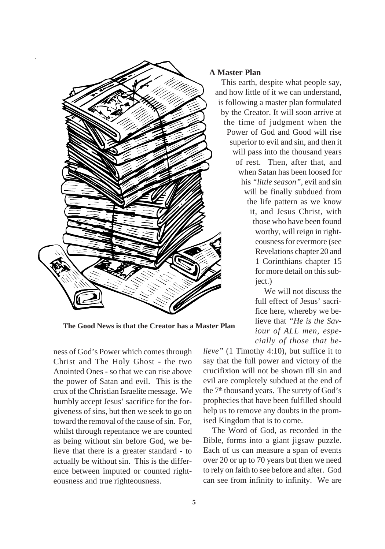

**The Good News is that the Creator has a Master Plan**

ness of God's Power which comes through Christ and The Holy Ghost - the two Anointed Ones - so that we can rise above the power of Satan and evil. This is the crux of the Christian Israelite message. We humbly accept Jesus' sacrifice for the forgiveness of sins, but then we seek to go on toward the removal of the cause of sin. For, whilst through repentance we are counted as being without sin before God, we believe that there is a greater standard - to actually be without sin. This is the difference between imputed or counted righteousness and true righteousness.

#### **A Master Plan**

This earth, despite what people say, and how little of it we can understand, is following a master plan formulated by the Creator. It will soon arrive at the time of judgment when the Power of God and Good will rise superior to evil and sin, and then it will pass into the thousand years of rest. Then, after that, and when Satan has been loosed for his *"little season"*, evil and sin will be finally subdued from the life pattern as we know it, and Jesus Christ, with those who have been found worthy, will reign in righteousness for evermore (see Revelations chapter 20 and 1 Corinthians chapter 15 for more detail on this subject.)

> We will not discuss the full effect of Jesus' sacrifice here, whereby we believe that *"He is the Saviour of ALL men, especially of those that be-*

*lieve"* (1 Timothy 4:10), but suffice it to say that the full power and victory of the crucifixion will not be shown till sin and evil are completely subdued at the end of the 7<sup>th</sup> thousand years. The surety of God's prophecies that have been fulfilled should help us to remove any doubts in the promised Kingdom that is to come.

The Word of God, as recorded in the Bible, forms into a giant jigsaw puzzle. Each of us can measure a span of events over 20 or up to 70 years but then we need to rely on faith to see before and after. God can see from infinity to infinity. We are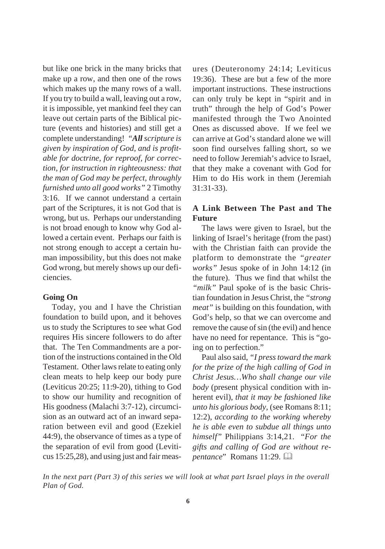but like one brick in the many bricks that make up a row, and then one of the rows which makes up the many rows of a wall. If you try to build a wall, leaving out a row, it is impossible, yet mankind feel they can leave out certain parts of the Biblical picture (events and histories) and still get a complete understanding! *"All scripture is given by inspiration of God, and is profitable for doctrine, for reproof, for correction, for instruction in righteousness: that the man of God may be perfect, throughly furnished unto all good works"* 2 Timothy 3:16. If we cannot understand a certain part of the Scriptures, it is not God that is wrong, but us. Perhaps our understanding is not broad enough to know why God allowed a certain event. Perhaps our faith is not strong enough to accept a certain human impossibility, but this does not make God wrong, but merely shows up our deficiencies.

#### **Going On**

Today, you and I have the Christian foundation to build upon, and it behoves us to study the Scriptures to see what God requires His sincere followers to do after that. The Ten Commandments are a portion of the instructions contained in the Old Testament. Other laws relate to eating only clean meats to help keep our body pure (Leviticus 20:25; 11:9-20), tithing to God to show our humility and recognition of His goodness (Malachi 3:7-12), circumcision as an outward act of an inward separation between evil and good (Ezekiel 44:9), the observance of times as a type of the separation of evil from good (Leviticus 15:25,28), and using just and fair measures (Deuteronomy 24:14; Leviticus 19:36). These are but a few of the more important instructions. These instructions can only truly be kept in "spirit and in truth" through the help of God's Power manifested through the Two Anointed Ones as discussed above. If we feel we can arrive at God's standard alone we will soon find ourselves falling short, so we need to follow Jeremiah's advice to Israel, that they make a covenant with God for Him to do His work in them (Jeremiah 31:31-33).

## **A Link Between The Past and The Future**

The laws were given to Israel, but the linking of Israel's heritage (from the past) with the Christian faith can provide the platform to demonstrate the *"greater works"* Jesus spoke of in John 14:12 (in the future). Thus we find that whilst the *"milk"* Paul spoke of is the basic Christian foundation in Jesus Christ, the *"strong meat"* is building on this foundation, with God's help, so that we can overcome and remove the cause of sin (the evil) and hence have no need for repentance. This is "going on to perfection."

Paul also said, *"I press toward the mark for the prize of the high calling of God in Christ Jesus…Who shall change our vile body* (present physical condition with inherent evil), *that it may be fashioned like unto his glorious body,* (see Romans 8:11; 12:2), *according to the working whereby he is able even to subdue all things unto himself"* Philippians 3:14,21. "*For the gifts and calling of God are without repentance*" Romans 11:29.

*In the next part (Part 3) of this series we will look at what part Israel plays in the overall Plan of God.*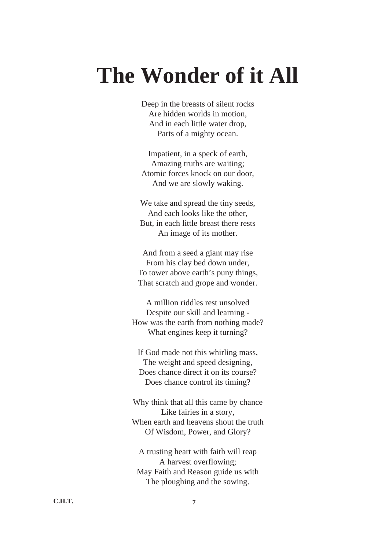# **The Wonder of it All**

Deep in the breasts of silent rocks Are hidden worlds in motion, And in each little water drop, Parts of a mighty ocean.

Impatient, in a speck of earth, Amazing truths are waiting; Atomic forces knock on our door, And we are slowly waking.

We take and spread the tiny seeds, And each looks like the other, But, in each little breast there rests An image of its mother.

And from a seed a giant may rise From his clay bed down under, To tower above earth's puny things, That scratch and grope and wonder.

A million riddles rest unsolved Despite our skill and learning - How was the earth from nothing made? What engines keep it turning?

If God made not this whirling mass, The weight and speed designing, Does chance direct it on its course? Does chance control its timing?

Why think that all this came by chance Like fairies in a story, When earth and heavens shout the truth Of Wisdom, Power, and Glory?

A trusting heart with faith will reap A harvest overflowing; May Faith and Reason guide us with The ploughing and the sowing.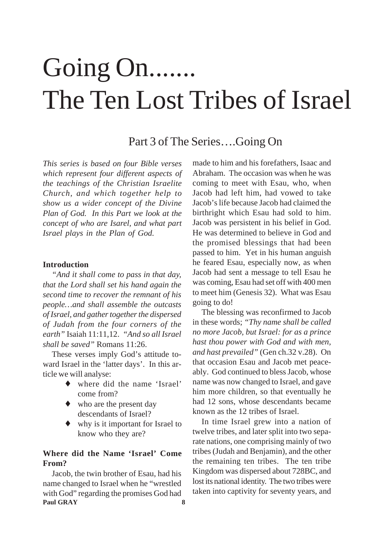# Going On....... The Ten Lost Tribes of Israel

# Part 3 of The Series….Going On

*This series is based on four Bible verses which represent four different aspects of the teachings of the Christian Israelite Church, and which together help to show us a wider concept of the Divine Plan of God. In this Part we look at the concept of who are Isarel, and what part Israel plays in the Plan of God.*

#### **Introduction**

*"And it shall come to pass in that day, that the Lord shall set his hand again the second time to recover the remnant of his people…and shall assemble the outcasts of Israel, and gather together the dispersed of Judah from the four corners of the earth"* Isaiah 11:11,12. *"And so all Israel shall be saved"* Romans 11:26.

These verses imply God's attitude toward Israel in the 'latter days'. In this article we will analyse:

- ♦ where did the name 'Israel' come from?
- who are the present day descendants of Israel?
- ♦ why is it important for Israel to know who they are?

## **Where did the Name 'Israel' Come From?**

**Paul GRAY 8** Jacob, the twin brother of Esau, had his name changed to Israel when he "wrestled with God" regarding the promises God had

made to him and his forefathers, Isaac and Abraham. The occasion was when he was coming to meet with Esau, who, when Jacob had left him, had vowed to take Jacob's life because Jacob had claimed the birthright which Esau had sold to him. Jacob was persistent in his belief in God. He was determined to believe in God and the promised blessings that had been passed to him. Yet in his human anguish he feared Esau, especially now, as when Jacob had sent a message to tell Esau he was coming, Esau had set off with 400 men to meet him (Genesis 32). What was Esau going to do!

The blessing was reconfirmed to Jacob in these words; *"Thy name shall be called no more Jacob, but Israel: for as a prince hast thou power with God and with men, and hast prevailed"* (Gen ch.32 v.28). On that occasion Esau and Jacob met peaceably. God continued to bless Jacob, whose name was now changed to Israel, and gave him more children, so that eventually he had 12 sons, whose descendants became known as the 12 tribes of Israel.

In time Israel grew into a nation of twelve tribes, and later split into two separate nations, one comprising mainly of two tribes (Judah and Benjamin), and the other the remaining ten tribes. The ten tribe Kingdom was dispersed about 728BC, and lost its national identity. The two tribes were taken into captivity for seventy years, and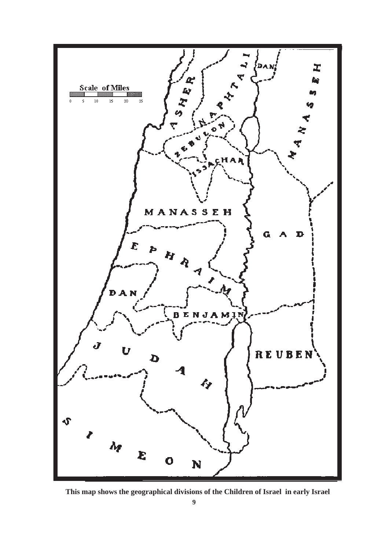

**This map shows the geographical divisions of the Children of Israel in early Israel**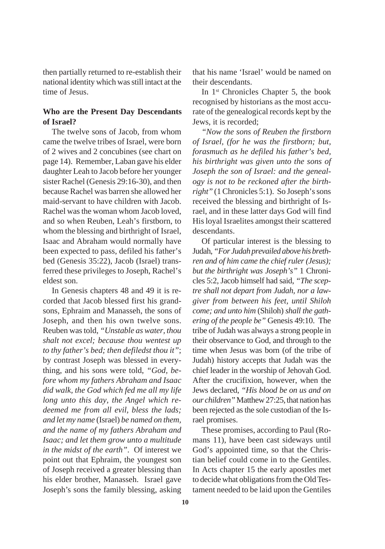then partially returned to re-establish their national identity which was still intact at the time of Jesus.

## **Who are the Present Day Descendants of Israel?**

The twelve sons of Jacob, from whom came the twelve tribes of Israel, were born of 2 wives and 2 concubines (see chart on page 14). Remember, Laban gave his elder daughter Leah to Jacob before her younger sister Rachel (Genesis 29:16-30), and then because Rachel was barren she allowed her maid-servant to have children with Jacob. Rachel was the woman whom Jacob loved, and so when Reuben, Leah's firstborn, to whom the blessing and birthright of Israel, Isaac and Abraham would normally have been expected to pass, defiled his father's bed (Genesis 35:22), Jacob (Israel) transferred these privileges to Joseph, Rachel's eldest son.

In Genesis chapters 48 and 49 it is recorded that Jacob blessed first his grandsons, Ephraim and Manasseh, the sons of Joseph, and then his own twelve sons. Reuben was told, *"Unstable as water, thou shalt not excel; because thou wentest up to thy father's bed; then defiledst thou it"*; by contrast Joseph was blessed in everything, and his sons were told, *"God, before whom my fathers Abraham and Isaac did walk, the God which fed me all my life long unto this day, the Angel which redeemed me from all evil, bless the lads; and let my name* (Israel) *be named on them, and the name of my fathers Abraham and Isaac; and let them grow unto a multitude in the midst of the earth"*. Of interest we point out that Ephraim, the youngest son of Joseph received a greater blessing than his elder brother, Manasseh. Israel gave Joseph's sons the family blessing, asking

that his name 'Israel' would be named on their descendants.

In  $1<sup>st</sup>$  Chronicles Chapter 5, the book recognised by historians as the most accurate of the genealogical records kept by the Jews, it is recorded;

*"Now the sons of Reuben the firstborn of Israel, (for he was the firstborn; but, forasmuch as he defiled his father's bed, his birthright was given unto the sons of Joseph the son of Israel: and the genealogy is not to be reckoned after the birthright"* (1 Chronicles 5:1). So Joseph's sons received the blessing and birthright of Israel, and in these latter days God will find His loyal Israelites amongst their scattered descendants.

Of particular interest is the blessing to Judah, *"For Judah prevailed above his brethren and of him came the chief ruler (Jesus); but the birthright was Joseph's"* 1 Chronicles 5:2, Jacob himself had said, *"The sceptre shall not depart from Judah, nor a lawgiver from between his feet, until Shiloh come; and unto him* (Shiloh) *shall the gathering of the people be"* Genesis 49:10. The tribe of Judah was always a strong people in their observance to God, and through to the time when Jesus was born (of the tribe of Judah) history accepts that Judah was the chief leader in the worship of Jehovah God. After the crucifixion, however, when the Jews declared, *"His blood be on us and on our children"* Matthew 27:25, that nation has been rejected as the sole custodian of the Israel promises.

These promises, according to Paul (Romans 11), have been cast sideways until God's appointed time, so that the Christian belief could come in to the Gentiles. In Acts chapter 15 the early apostles met to decide what obligations from the Old Testament needed to be laid upon the Gentiles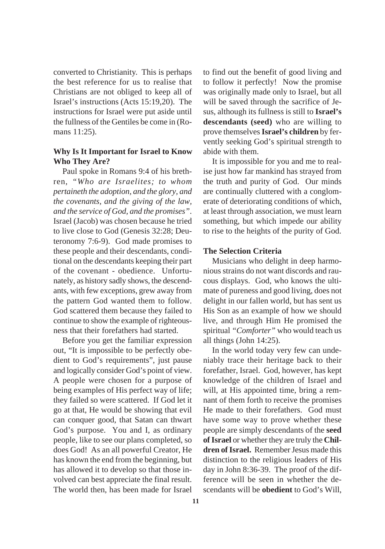converted to Christianity. This is perhaps the best reference for us to realise that Christians are not obliged to keep all of Israel's instructions (Acts 15:19,20). The instructions for Israel were put aside until the fullness of the Gentiles be come in (Romans 11:25).

### **Why Is It Important for Israel to Know Who They Are?**

Paul spoke in Romans 9:4 of his brethren, *"Who are Israelites; to whom pertaineth the adoption, and the glory, and the covenants, and the giving of the law, and the service of God, and the promises"*. Israel (Jacob) was chosen because he tried to live close to God (Genesis 32:28; Deuteronomy 7:6-9). God made promises to these people and their descendants, conditional on the descendants keeping their part of the covenant - obedience. Unfortunately, as history sadly shows, the descendants, with few exceptions, grew away from the pattern God wanted them to follow. God scattered them because they failed to continue to show the example of righteousness that their forefathers had started.

Before you get the familiar expression out, "It is impossible to be perfectly obedient to God's requirements", just pause and logically consider God's point of view. A people were chosen for a purpose of being examples of His perfect way of life; they failed so were scattered. If God let it go at that, He would be showing that evil can conquer good, that Satan can thwart God's purpose. You and I, as ordinary people, like to see our plans completed, so does God! As an all powerful Creator, He has known the end from the beginning, but has allowed it to develop so that those involved can best appreciate the final result. The world then, has been made for Israel to find out the benefit of good living and to follow it perfectly! Now the promise was originally made only to Israel, but all will be saved through the sacrifice of Jesus, although its fullness is still to **Israel's descendants (seed)** who are willing to prove themselves **Israel's children** by fervently seeking God's spiritual strength to abide with them.

It is impossible for you and me to realise just how far mankind has strayed from the truth and purity of God. Our minds are continually cluttered with a conglomerate of deteriorating conditions of which, at least through association, we must learn something, but which impede our ability to rise to the heights of the purity of God.

#### **The Selection Criteria**

Musicians who delight in deep harmonious strains do not want discords and raucous displays. God, who knows the ultimate of pureness and good living, does not delight in our fallen world, but has sent us His Son as an example of how we should live, and through Him He promised the spiritual *"Comforter"* who would teach us all things (John 14:25).

In the world today very few can undeniably trace their heritage back to their forefather, Israel. God, however, has kept knowledge of the children of Israel and will, at His appointed time, bring a remnant of them forth to receive the promises He made to their forefathers. God must have some way to prove whether these people are simply descendants of the **seed of Israel** or whether they are truly the **Children of Israel.** Remember Jesus made this distinction to the religious leaders of His day in John 8:36-39. The proof of the difference will be seen in whether the descendants will be **obedient** to God's Will,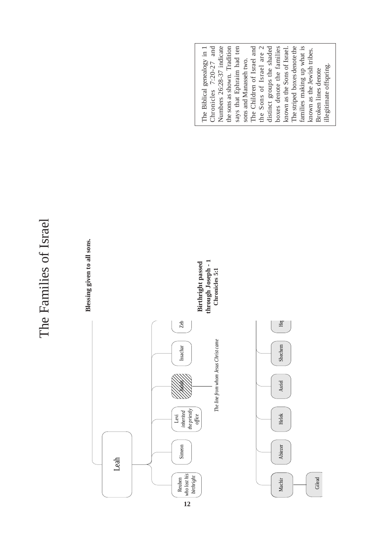# The Families of Israel The Families of Israel

**Blessing given to all sons.**











The Biblical genealogy in 1<br>Chronicles  $7:20-27$  and Numbers 26:28-37 indicate The Children of Israel and the Sons of Israel are 2 distinct groups the shaded<br>boxes denote the families The striped boxes denote the families making up what is the sons as shown. Tradition says that Ephraim had ten Chronicles 7:20-27 and Numbers 26:28-37 indicate the sons as shown. Tradition says that Ephraim had ten The Children of Israel and the Sons of Israel are 2 distinct groups the shaded boxes denote the families known as the Sons of Israel. The striped boxes denote the families making up what is The Biblical genealogy in 1 known as the Sons of Israel. known as the Jewish tribes. known as the Jewish tribes. sons and Manasseh two. sons and Manasseh two. illegitimate offspring. illegitimate offspring. Broken lines denote Broken lines denote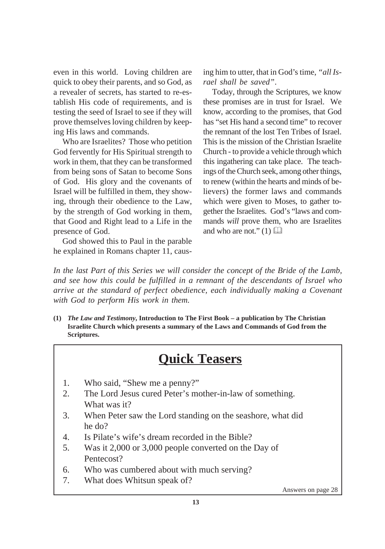even in this world. Loving children are quick to obey their parents, and so God, as a revealer of secrets, has started to re-establish His code of requirements, and is testing the seed of Israel to see if they will prove themselves loving children by keeping His laws and commands.

Who are Israelites? Those who petition God fervently for His Spiritual strength to work in them, that they can be transformed from being sons of Satan to become Sons of God. His glory and the covenants of Israel will be fulfilled in them, they showing, through their obedience to the Law, by the strength of God working in them, that Good and Right lead to a Life in the presence of God.

God showed this to Paul in the parable he explained in Romans chapter 11, causing him to utter, that in God's time, *"all Israel shall be saved"*.

Today, through the Scriptures, we know these promises are in trust for Israel. We know, according to the promises, that God has "set His hand a second time" to recover the remnant of the lost Ten Tribes of Israel. This is the mission of the Christian Israelite Church - to provide a vehicle through which this ingathering can take place. The teachings of the Church seek, among other things, to renew (within the hearts and minds of believers) the former laws and commands which were given to Moses, to gather together the Israelites. God's "laws and commands *will* prove them, who are Israelites and who are not."  $(1)$ 

*In the last Part of this Series we will consider the concept of the Bride of the Lamb, and see how this could be fulfilled in a remnant of the descendants of Israel who arrive at the standard of perfect obedience, each individually making a Covenant with God to perform His work in them.*

**(1)** *The Law and Testimony***, Introduction to The First Book – a publication by The Christian Israelite Church which presents a summary of the Laws and Commands of God from the Scriptures.**

# **Quick Teasers**

- 1. Who said, "Shew me a penny?"
- 2. The Lord Jesus cured Peter's mother-in-law of something. What was it?
- 3. When Peter saw the Lord standing on the seashore, what did he do?
- 4. Is Pilate's wife's dream recorded in the Bible?
- 5. Was it 2,000 or 3,000 people converted on the Day of Pentecost?
- 6. Who was cumbered about with much serving?
- 7. What does Whitsun speak of?

Answers on page 28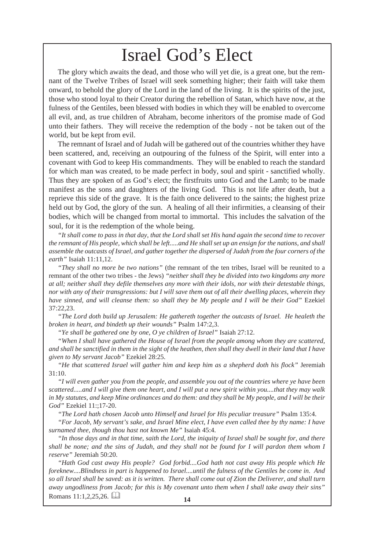# Israel God's Elect

The glory which awaits the dead, and those who will yet die, is a great one, but the remnant of the Twelve Tribes of Israel will seek something higher; their faith will take them onward, to behold the glory of the Lord in the land of the living. It is the spirits of the just, those who stood loyal to their Creator during the rebellion of Satan, which have now, at the fulness of the Gentiles, been blessed with bodies in which they will be enabled to overcome all evil, and, as true children of Abraham, become inheritors of the promise made of God unto their fathers. They will receive the redemption of the body - not be taken out of the world, but be kept from evil.

The remnant of Israel and of Judah will be gathered out of the countries whither they have been scattered, and, receiving an outpouring of the fulness of the Spirit, will enter into a covenant with God to keep His commandments. They will be enabled to reach the standard for which man was created, to be made perfect in body, soul and spirit - sanctified wholly. Thus they are spoken of as God's elect; the firstfruits unto God and the Lamb; to be made manifest as the sons and daughters of the living God. This is not life after death, but a reprieve this side of the grave. It is the faith once delivered to the saints; the highest prize held out by God, the glory of the sun. A healing of all their infirmities, a cleansing of their bodies, which will be changed from mortal to immortal. This includes the salvation of the soul, for it is the redemption of the whole being.

*"It shall come to pass in that day, that the Lord shall set His hand again the second time to recover the remnant of His people, which shall be left.....and He shall set up an ensign for the nations, and shall assemble the outcasts of Israel, and gather together the dispersed of Judah from the four corners of the earth"* Isaiah 11:11,12.

*"They shall no more be two nations"* (the remnant of the ten tribes, Israel will be reunited to a remnant of the other two tribes - the Jews) *"neither shall they be divided into two kingdoms any more at all; neither shall they defile themselves any more with their idols, nor with their detestable things, nor with any of their transgressions: but I will save them out of all their dwelling places, wherein they have sinned, and will cleanse them: so shall they be My people and I will be their God"* Ezekiel 37:22,23.

*"The Lord doth build up Jerusalem: He gathereth together the outcasts of Israel. He healeth the broken in heart, and bindeth up their wounds"* Psalm 147:2,3.

*"Ye shall be gathered one by one, O ye children of Israel"* Isaiah 27:12.

*"When I shall have gathered the House of Israel from the people among whom they are scattered, and shall be sanctified in them in the sight of the heathen, then shall they dwell in their land that I have given to My servant Jacob"* Ezekiel 28:25.

*"He that scattered Israel will gather him and keep him as a shepherd doth his flock"* Jeremiah 31:10.

*"I will even gather you from the people, and assemble you out of the countries where ye have been scattered.....and I will give them one heart, and I will put a new spirit within you....that they may walk in My statutes, and keep Mine ordinances and do them: and they shall be My people, and I will be their God"* Ezekiel 11:;17-20.

*"The Lord hath chosen Jacob unto Himself and Israel for His peculiar treasure"* Psalm 135:4.

*"For Jacob, My servant's sake, and Israel Mine elect, I have even called thee by thy name: I have surnamed thee, though thou hast not known Me"* Isaiah 45:4.

*"In those days and in that time, saith the Lord, the iniquity of Israel shall be sought for, and there shall be none; and the sins of Judah, and they shall not be found for I will pardon them whom I reserve"* Jeremiah 50:20.

*"Hath God cast away His people? God forbid....God hath not cast away His people which He foreknew....Blindness in part is happened to Israel....until the fulness of the Gentiles be come in. And so all Israel shall be saved: as it is written. There shall come out of Zion the Deliverer, and shall turn away ungodliness from Jacob; for this is My covenant unto them when I shall take away their sins"*

Romans 11:1,2,25,26.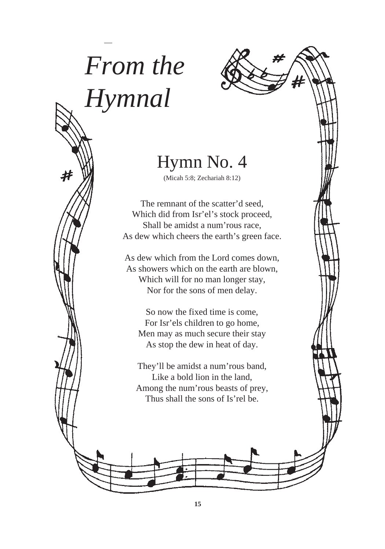# *From the Hymnal*



# Hymn No. 4

(Micah 5:8; Zechariah 8:12)

The remnant of the scatter'd seed, Which did from Isr'el's stock proceed, Shall be amidst a num'rous race, As dew which cheers the earth's green face.

As dew which from the Lord comes down, As showers which on the earth are blown, Which will for no man longer stay, Nor for the sons of men delay.

So now the fixed time is come, For Isr'els children to go home, Men may as much secure their stay As stop the dew in heat of day.

They'll be amidst a num'rous band, Like a bold lion in the land, Among the num'rous beasts of prey, Thus shall the sons of Is'rel be.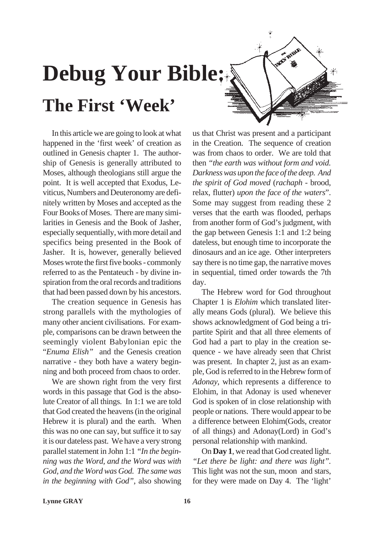# **Debug Your Bible: The First 'Week'**

In this article we are going to look at what happened in the 'first week' of creation as outlined in Genesis chapter 1. The authorship of Genesis is generally attributed to Moses, although theologians still argue the point. It is well accepted that Exodus, Leviticus, Numbers and Deuteronomy are definitely written by Moses and accepted as the Four Books of Moses. There are many similarities in Genesis and the Book of Jasher, especially sequentially, with more detail and specifics being presented in the Book of Jasher. It is, however, generally believed Moses wrote the first five books - commonly referred to as the Pentateuch - by divine inspiration from the oral records and traditions that had been passed down by his ancestors.

The creation sequence in Genesis has strong parallels with the mythologies of many other ancient civilisations. For example, comparisons can be drawn between the seemingly violent Babylonian epic the "*Enuma Elish"* and the Genesis creation narrative - they both have a watery beginning and both proceed from chaos to order.

We are shown right from the very first words in this passage that God is the absolute Creator of all things. In 1:1 we are told that God created the heavens (in the original Hebrew it is plural) and the earth. When this was no one can say, but suffice it to say it is our dateless past. We have a very strong parallel statement in John 1:1 *"In the beginning was the Word, and the Word was with God, and the Word was God. The same was in the beginning with God"*, also showing

us that Christ was present and a participant in the Creation. The sequence of creation was from chaos to order. We are told that then *"the earth was without form and void. Darkness was upon the face of the deep. And the spirit of God moved* (*rachaph* - brood, relax, flutter) *upon the face of the waters*". Some may suggest from reading these 2 verses that the earth was flooded, perhaps from another form of God's judgment, with the gap between Genesis 1:1 and 1:2 being dateless, but enough time to incorporate the dinosaurs and an ice age. Other interpreters say there is no time gap, the narrative moves in sequential, timed order towards the 7th day.

**THAT'S BLOCKER** 

The Hebrew word for God throughout Chapter 1 is *Elohim* which translated literally means Gods (plural). We believe this shows acknowledgment of God being a tripartite Spirit and that all three elements of God had a part to play in the creation sequence - we have already seen that Christ was present. In chapter 2, just as an example, God is referred to in the Hebrew form of *Adonay*, which represents a difference to Elohim, in that Adonay is used whenever God is spoken of in close relationship with people or nations. There would appear to be a difference between Elohim(Gods, creator of all things) and Adonay(Lord) in God's personal relationship with mankind.

On **Day 1**, we read that God created light. *"Let there be light: and there was light".* This light was not the sun, moon and stars, for they were made on Day 4. The 'light'

**Lynne GRAY**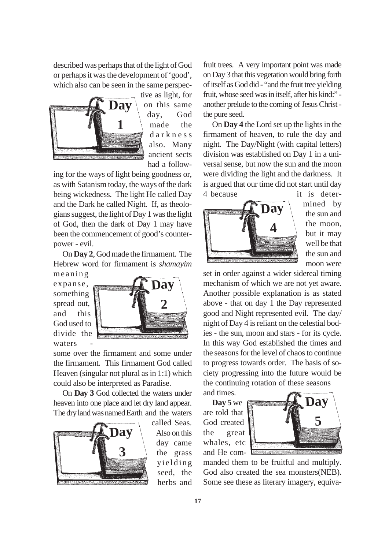described was perhaps that of the light of God or perhaps it was the development of 'good', which also can be seen in the same perspec-



tive as light, for on this same day, God made the darkness also. Many ancient sects had a follow-

ing for the ways of light being goodness or, as with Satanism today, the ways of the dark being wickedness. The light He called Day and the Dark he called Night. If, as theologians suggest, the light of Day 1 was the light of God, then the dark of Day 1 may have been the commencement of good's counterpower - evil.

On **Day 2**, God made the firmament. The Hebrew word for firmament is *shamayim*

meaning expanse, something spread out, and this God used to divide the waters



some over the firmament and some under the firmament. This firmament God called Heaven (singular not plural as in 1:1) which could also be interpreted as Paradise.

On **Day 3** God collected the waters under heaven into one place and let dry land appear. The dry land was named Earth and the waters



called Seas. Also on this day came the grass yielding seed, the herbs and fruit trees. A very important point was made on Day 3 that this vegetation would bring forth of itself as God did - "and the fruit tree yielding fruit, whose seed was in itself, after his kind:" another prelude to the coming of Jesus Christ the pure seed.

On **Day 4** the Lord set up the lights in the firmament of heaven, to rule the day and night. The Day/Night (with capital letters) division was established on Day 1 in a universal sense, but now the sun and the moon were dividing the light and the darkness. It is argued that our time did not start until day 4 because it is deter-



mined by the sun and the moon, but it may well be that the sun and moon were

set in order against a wider sidereal timing mechanism of which we are not yet aware. Another possible explanation is as stated above - that on day 1 the Day represented good and Night represented evil. The day/ night of Day 4 is reliant on the celestial bodies - the sun, moon and stars - for its cycle. In this way God established the times and the seasons for the level of chaos to continue to progress towards order. The basis of society progressing into the future would be the continuing rotation of these seasons

and times.

**Day 5** we are told that God created the great whales, etc and He com-



manded them to be fruitful and multiply. God also created the sea monsters(NEB). Some see these as literary imagery, equiva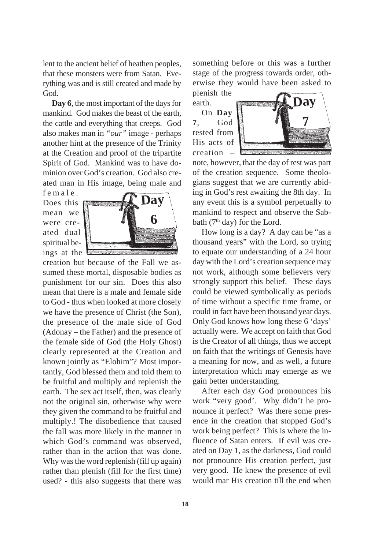lent to the ancient belief of heathen peoples, that these monsters were from Satan. Everything was and is still created and made by God.

**Day 6**, the most important of the days for mankind. God makes the beast of the earth, the cattle and everything that creeps. God also makes man in *"our"* image - perhaps another hint at the presence of the Trinity at the Creation and proof of the tripartite Spirit of God. Mankind was to have dominion over God's creation. God also created man in His image, being male and

female. Does this mean we were created dual spiritual beings at the



creation but because of the Fall we assumed these mortal, disposable bodies as punishment for our sin. Does this also mean that there is a male and female side to God - thus when looked at more closely we have the presence of Christ (the Son), the presence of the male side of God (Adonay – the Father) and the presence of the female side of God (the Holy Ghost) clearly represented at the Creation and known jointly as "Elohim"? Most importantly, God blessed them and told them to be fruitful and multiply and replenish the earth. The sex act itself, then, was clearly not the original sin, otherwise why were they given the command to be fruitful and multiply.! The disobedience that caused the fall was more likely in the manner in which God's command was observed, rather than in the action that was done. Why was the word replenish (fill up again) rather than plenish (fill for the first time) used? - this also suggests that there was

something before or this was a further stage of the progress towards order, otherwise they would have been asked to

plenish the earth.

On **Day 7**, God rested from His acts of creation –



note, however, that the day of rest was part of the creation sequence. Some theologians suggest that we are currently abiding in God's rest awaiting the 8th day. In any event this is a symbol perpetually to mankind to respect and observe the Sabbath ( $7<sup>th</sup>$  day) for the Lord.

How long is a day? A day can be "as a thousand years" with the Lord, so trying to equate our understanding of a 24 hour day with the Lord's creation sequence may not work, although some believers very strongly support this belief. These days could be viewed symbolically as periods of time without a specific time frame, or could in fact have been thousand year days. Only God knows how long these 6 'days' actually were. We accept on faith that God is the Creator of all things, thus we accept on faith that the writings of Genesis have a meaning for now, and as well, a future interpretation which may emerge as we gain better understanding.

After each day God pronounces his work "very good'. Why didn't he pronounce it perfect? Was there some presence in the creation that stopped God's work being perfect? This is where the influence of Satan enters. If evil was created on Day 1, as the darkness, God could not pronounce His creation perfect, just very good. He knew the presence of evil would mar His creation till the end when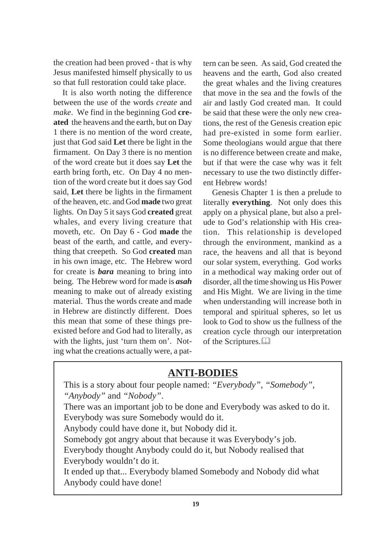the creation had been proved - that is why Jesus manifested himself physically to us so that full restoration could take place.

It is also worth noting the difference between the use of the words *create* and *make*. We find in the beginning God **created** the heavens and the earth, but on Day 1 there is no mention of the word create, just that God said **Let** there be light in the firmament. On Day 3 there is no mention of the word create but it does say **Let** the earth bring forth, etc. On Day 4 no mention of the word create but it does say God said, **Let** there be lights in the firmament of the heaven, etc. and God **made** two great lights. On Day 5 it says God **created** great whales, and every living creature that moveth, etc. On Day 6 - God **made** the beast of the earth, and cattle, and everything that creepeth. So God **created** man in his own image, etc. The Hebrew word for create is *bara* meaning to bring into being. The Hebrew word for made is *asah* meaning to make out of already existing material. Thus the words create and made in Hebrew are distinctly different. Does this mean that some of these things preexisted before and God had to literally, as with the lights, just 'turn them on'. Noting what the creations actually were, a pat-

tern can be seen. As said, God created the heavens and the earth, God also created the great whales and the living creatures that move in the sea and the fowls of the air and lastly God created man. It could be said that these were the only new creations, the rest of the Genesis creation epic had pre-existed in some form earlier. Some theologians would argue that there is no difference between create and make, but if that were the case why was it felt necessary to use the two distinctly different Hebrew words!

Genesis Chapter 1 is then a prelude to literally **everything**. Not only does this apply on a physical plane, but also a prelude to God's relationship with His creation. This relationship is developed through the environment, mankind as a race, the heavens and all that is beyond our solar system, everything. God works in a methodical way making order out of disorder, all the time showing us His Power and His Might. We are living in the time when understanding will increase both in temporal and spiritual spheres, so let us look to God to show us the fullness of the creation cycle through our interpretation of the Scriptures.

## **ANTI-BODIES**

This is a story about four people named: *"Everybody", "Somebody", "Anybody"* and *"Nobody"*.

There was an important job to be done and Everybody was asked to do it. Everybody was sure Somebody would do it.

Anybody could have done it, but Nobody did it.

Somebody got angry about that because it was Everybody's job.

Everybody thought Anybody could do it, but Nobody realised that Everybody wouldn't do it.

It ended up that... Everybody blamed Somebody and Nobody did what Anybody could have done!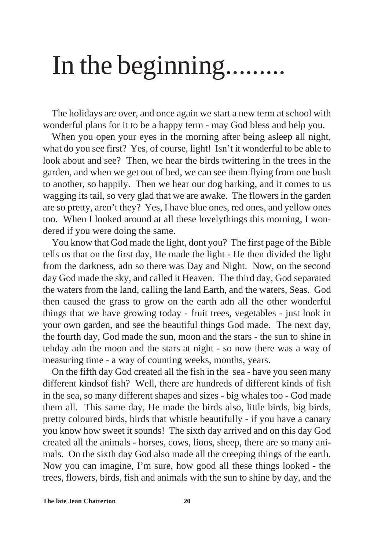# In the beginning.........

The holidays are over, and once again we start a new term at school with wonderful plans for it to be a happy term - may God bless and help you.

When you open your eyes in the morning after being asleep all night, what do you see first? Yes, of course, light! Isn't it wonderful to be able to look about and see? Then, we hear the birds twittering in the trees in the garden, and when we get out of bed, we can see them flying from one bush to another, so happily. Then we hear our dog barking, and it comes to us wagging its tail, so very glad that we are awake. The flowers in the garden are so pretty, aren't they? Yes, I have blue ones, red ones, and yellow ones too. When I looked around at all these lovelythings this morning, I wondered if you were doing the same.

You know that God made the light, dont you? The first page of the Bible tells us that on the first day, He made the light - He then divided the light from the darkness, adn so there was Day and Night. Now, on the second day God made the sky, and called it Heaven. The third day, God separated the waters from the land, calling the land Earth, and the waters, Seas. God then caused the grass to grow on the earth adn all the other wonderful things that we have growing today - fruit trees, vegetables - just look in your own garden, and see the beautiful things God made. The next day, the fourth day, God made the sun, moon and the stars - the sun to shine in tehday adn the moon and the stars at night - so now there was a way of measuring time - a way of counting weeks, months, years.

On the fifth day God created all the fish in the sea - have you seen many different kindsof fish? Well, there are hundreds of different kinds of fish in the sea, so many different shapes and sizes - big whales too - God made them all. This same day, He made the birds also, little birds, big birds, pretty coloured birds, birds that whistle beautifully - if you have a canary you know how sweet it sounds! The sixth day arrived and on this day God created all the animals - horses, cows, lions, sheep, there are so many animals. On the sixth day God also made all the creeping things of the earth. Now you can imagine, I'm sure, how good all these things looked - the trees, flowers, birds, fish and animals with the sun to shine by day, and the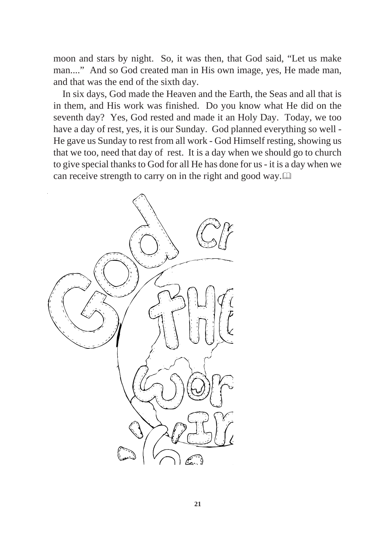moon and stars by night. So, it was then, that God said, "Let us make man...." And so God created man in His own image, yes, He made man, and that was the end of the sixth day.

In six days, God made the Heaven and the Earth, the Seas and all that is in them, and His work was finished. Do you know what He did on the seventh day? Yes, God rested and made it an Holy Day. Today, we too have a day of rest, yes, it is our Sunday. God planned everything so well - He gave us Sunday to rest from all work - God Himself resting, showing us that we too, need that day of rest. It is a day when we should go to church to give special thanks to God for all He has done for us - it is a day when we can receive strength to carry on in the right and good way.

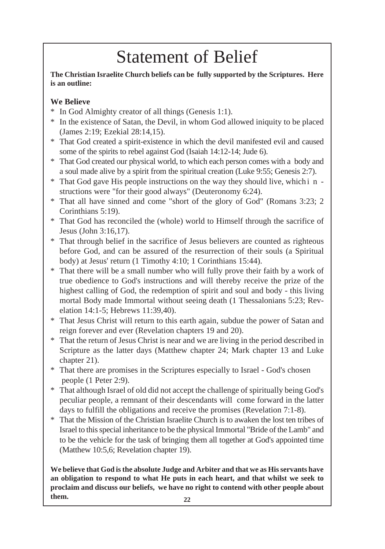# Statement of Belief

**The Christian Israelite Church beliefs can be fully supported by the Scriptures. Here is an outline:**

## **We Believe**

- \* In God Almighty creator of all things (Genesis 1:1).
- \* In the existence of Satan, the Devil, in whom God allowed iniquity to be placed (James 2:19; Ezekial 28:14,15).
- \* That God created a spirit-existence in which the devil manifested evil and caused some of the spirits to rebel against God (Isaiah 14:12-14; Jude 6).
- \* That God created our physical world, to which each person comes with a body and a soul made alive by a spirit from the spiritual creation (Luke 9:55; Genesis 2:7).
- \* That God gave His people instructions on the way they should live, which i n structions were "for their good always" (Deuteronomy 6:24).
- \* That all have sinned and come "short of the glory of God" (Romans 3:23; 2 Corinthians 5:19).
- \* That God has reconciled the (whole) world to Himself through the sacrifice of Jesus (John 3:16,17).
- \* That through belief in the sacrifice of Jesus believers are counted as righteous before God, and can be assured of the resurrection of their souls (a Spiritual body) at Jesus' return (1 Timothy 4:10; 1 Corinthians 15:44).
- \* That there will be a small number who will fully prove their faith by a work of true obedience to God's instructions and will thereby receive the prize of the highest calling of God, the redemption of spirit and soul and body - this living mortal Body made Immortal without seeing death (1 Thessalonians 5:23; Revelation 14:1-5; Hebrews 11:39,40).
- \* That Jesus Christ will return to this earth again, subdue the power of Satan and reign forever and ever (Revelation chapters 19 and 20).
- \* That the return of Jesus Christ is near and we are living in the period described in Scripture as the latter days (Matthew chapter 24; Mark chapter 13 and Luke chapter 21).
- \* That there are promises in the Scriptures especially to Israel God's chosen people (1 Peter 2:9).
- \* That although Israel of old did not accept the challenge of spiritually being God's peculiar people, a remnant of their descendants will come forward in the latter days to fulfill the obligations and receive the promises (Revelation 7:1-8).
- \* That the Mission of the Christian Israelite Church is to awaken the lost ten tribes of Israel to this special inheritance to be the physical Immortal "Bride of the Lamb" and to be the vehicle for the task of bringing them all together at God's appointed time (Matthew 10:5,6; Revelation chapter 19).

**We believe that God is the absolute Judge and Arbiter and that we as His servants have an obligation to respond to what He puts in each heart, and that whilst we seek to proclaim and discuss our beliefs, we have no right to contend with other people about them. <sup>22</sup>**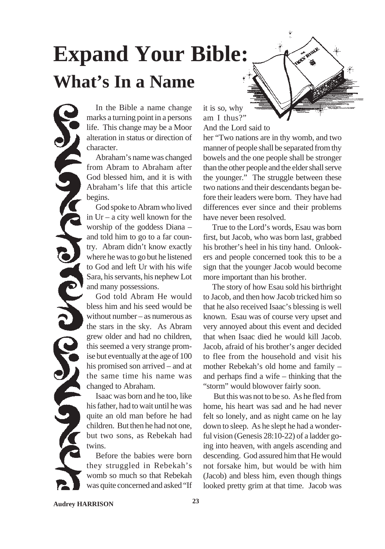# **Expand Your Bible: What's In a Name**

In the Bible a name change marks a turning point in a persons life. This change may be a Moor alteration in status or direction of character.

Abraham's name was changed from Abram to Abraham after God blessed him, and it is with Abraham's life that this article begins.

God spoke to Abram who lived in Ur – a city well known for the worship of the goddess Diana – and told him to go to a far country. Abram didn't know exactly where he was to go but he listened to God and left Ur with his wife Sara, his servants, his nephew Lot and many possessions.

God told Abram He would bless him and his seed would be without number – as numerous as the stars in the sky. As Abram grew older and had no children, this seemed a very strange promise but eventually at the age of 100 his promised son arrived – and at the same time his name was changed to Abraham.

Isaac was born and he too, like his father, had to wait until he was quite an old man before he had children. But then he had not one, but two sons, as Rebekah had twins.

Before the babies were born they struggled in Rebekah's womb so much so that Rebekah was quite concerned and asked "If it is so, why am I thus?" And the Lord said to

her "Two nations are in thy womb, and two manner of people shall be separated from thy bowels and the one people shall be stronger than the other people and the elder shall serve the younger." The struggle between these two nations and their descendants began before their leaders were born. They have had differences ever since and their problems have never been resolved.

**PAIRS** 

True to the Lord's words, Esau was born first, but Jacob, who was born last, grabbed his brother's heel in his tiny hand. Onlookers and people concerned took this to be a sign that the younger Jacob would become more important than his brother.

The story of how Esau sold his birthright to Jacob, and then how Jacob tricked him so that he also received Isaac's blessing is well known. Esau was of course very upset and very annoyed about this event and decided that when Isaac died he would kill Jacob. Jacob, afraid of his brother's anger decided to flee from the household and visit his mother Rebekah's old home and family – and perhaps find a wife – thinking that the "storm" would blowover fairly soon.

 But this was not to be so. As he fled from home, his heart was sad and he had never felt so lonely, and as night came on he lay down to sleep. As he slept he had a wonderful vision (Genesis 28:10-22) of a ladder going into heaven, with angels ascending and descending. God assured him that He would not forsake him, but would be with him (Jacob) and bless him, even though things looked pretty grim at that time. Jacob was

**Audrey HARRISON 23**

LAG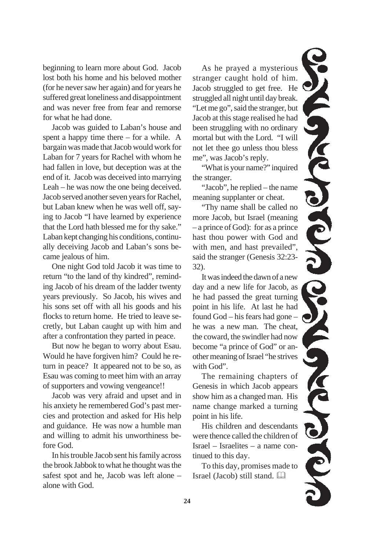beginning to learn more about God. Jacob lost both his home and his beloved mother (for he never saw her again) and for years he suffered great loneliness and disappointment and was never free from fear and remorse for what he had done.

Jacob was guided to Laban's house and spent a happy time there – for a while. A bargain was made that Jacob would work for Laban for 7 years for Rachel with whom he had fallen in love, but deception was at the end of it. Jacob was deceived into marrying Leah – he was now the one being deceived. Jacob served another seven years for Rachel, but Laban knew when he was well off, saying to Jacob "I have learned by experience that the Lord hath blessed me for thy sake." Laban kept changing his conditions, continually deceiving Jacob and Laban's sons became jealous of him.

One night God told Jacob it was time to return "to the land of thy kindred", reminding Jacob of his dream of the ladder twenty years previously. So Jacob, his wives and his sons set off with all his goods and his flocks to return home. He tried to leave secretly, but Laban caught up with him and after a confrontation they parted in peace.

But now he began to worry about Esau. Would he have forgiven him? Could he return in peace? It appeared not to be so, as Esau was coming to meet him with an array of supporters and vowing vengeance!!

Jacob was very afraid and upset and in his anxiety he remembered God's past mercies and protection and asked for His help and guidance. He was now a humble man and willing to admit his unworthiness before God.

In his trouble Jacob sent his family across the brook Jabbok to what he thought was the safest spot and he, Jacob was left alone – alone with God.

As he prayed a mysterious stranger caught hold of him. Jacob struggled to get free. He struggled all night until day break. "Let me go", said the stranger, but Jacob at this stage realised he had been struggling with no ordinary mortal but with the Lord. "I will not let thee go unless thou bless me", was Jacob's reply.

"What is your name?" inquired the stranger.

"Jacob", he replied – the name meaning supplanter or cheat.

"Thy name shall be called no more Jacob, but Israel (meaning – a prince of God): for as a prince hast thou power with God and with men, and hast prevailed", said the stranger (Genesis 32:23- 32).

It was indeed the dawn of a new day and a new life for Jacob, as he had passed the great turning point in his life. At last he had found God – his fears had gone – he was a new man. The cheat, the coward, the swindler had now become "a prince of God" or another meaning of Israel "he strives with God".

The remaining chapters of Genesis in which Jacob appears show him as a changed man. His name change marked a turning point in his life.

His children and descendants were thence called the children of Israel – Israelites – a name continued to this day.

To this day, promises made to Israel (Jacob) still stand.

**COND CONCL**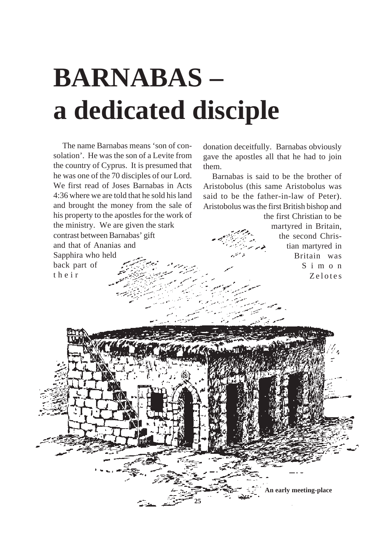# **BARNABAS – a dedicated disciple**

The name Barnabas means 'son of consolation'. He was the son of a Levite from the country of Cyprus. It is presumed that he was one of the 70 disciples of our Lord. We first read of Joses Barnabas in Acts 4:36 where we are told that he sold his land and brought the money from the sale of his property to the apostles for the work of the ministry. We are given the stark contrast between Barnabas' gift and that of Ananias and Sapphira who held back part of their

donation deceitfully. Barnabas obviously gave the apostles all that he had to join them.

Barnabas is said to be the brother of Aristobolus (this same Aristobolus was said to be the father-in-law of Peter). Aristobolus was the first British bishop and

the first Christian to be martyred in Britain, the second Christian martyred in Britain was Simon Zelotes

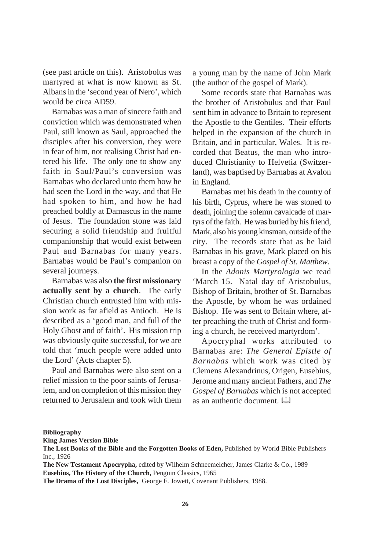(see past article on this). Aristobolus was martyred at what is now known as St. Albans in the 'second year of Nero', which would be circa AD59.

Barnabas was a man of sincere faith and conviction which was demonstrated when Paul, still known as Saul, approached the disciples after his conversion, they were in fear of him, not realising Christ had entered his life. The only one to show any faith in Saul/Paul's conversion was Barnabas who declared unto them how he had seen the Lord in the way, and that He had spoken to him, and how he had preached boldly at Damascus in the name of Jesus. The foundation stone was laid securing a solid friendship and fruitful companionship that would exist between Paul and Barnabas for many years. Barnabas would be Paul's companion on several journeys.

Barnabas was also **the first missionary actually sent by a church**. The early Christian church entrusted him with mission work as far afield as Antioch. He is described as a 'good man, and full of the Holy Ghost and of faith'. His mission trip was obviously quite successful, for we are told that 'much people were added unto the Lord' (Acts chapter 5).

Paul and Barnabas were also sent on a relief mission to the poor saints of Jerusalem, and on completion of this mission they returned to Jerusalem and took with them a young man by the name of John Mark (the author of the gospel of Mark).

Some records state that Barnabas was the brother of Aristobulus and that Paul sent him in advance to Britain to represent the Apostle to the Gentiles. Their efforts helped in the expansion of the church in Britain, and in particular, Wales. It is recorded that Beatus, the man who introduced Christianity to Helvetia (Switzerland), was baptised by Barnabas at Avalon in England.

Barnabas met his death in the country of his birth, Cyprus, where he was stoned to death, joining the solemn cavalcade of martyrs of the faith. He was buried by his friend, Mark, also his young kinsman, outside of the city. The records state that as he laid Barnabas in his grave, Mark placed on his breast a copy of the *Gospel of St. Matthew*.

In the *Adonis Martyrologia* we read 'March 15. Natal day of Aristobulus, Bishop of Britain, brother of St. Barnabas the Apostle, by whom he was ordained Bishop. He was sent to Britain where, after preaching the truth of Christ and forming a church, he received martyrdom'.

Apocryphal works attributed to Barnabas are: *The General Epistle of Barnabas* which work was cited by Clemens Alexandrinus, Origen, Eusebius, Jerome and many ancient Fathers, and *The Gospel of Barnabas* which is not accepted as an authentic document.

#### **Bibliography**

**King James Version Bible**

**The New Testament Apocrypha,** edited by Wilhelm Schneemelcher, James Clarke & Co., 1989 **Eusebius, The History of the Church,** Penguin Classics, 1965

**The Drama of the Lost Disciples,** George F. Jowett, Covenant Publishers, 1988.

**The Lost Books of the Bible and the Forgotten Books of Eden,** Published by World Bible Publishers Inc., 1926